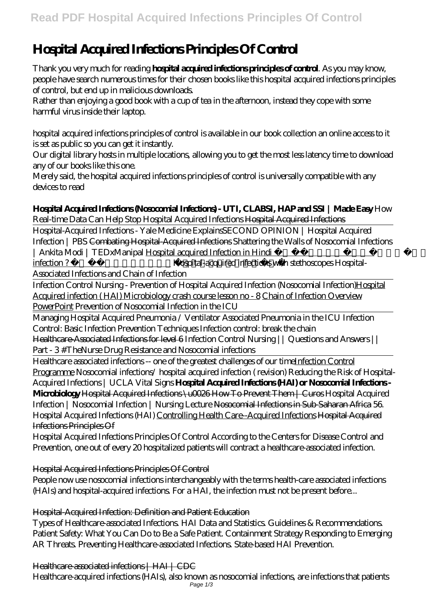# **Hospital Acquired Infections Principles Of Control**

Thank you very much for reading **hospital acquired infections principles of control**. As you may know, people have search numerous times for their chosen books like this hospital acquired infections principles of control, but end up in malicious downloads.

Rather than enjoying a good book with a cup of tea in the afternoon, instead they cope with some harmful virus inside their laptop.

hospital acquired infections principles of control is available in our book collection an online access to it is set as public so you can get it instantly.

Our digital library hosts in multiple locations, allowing you to get the most less latency time to download any of our books like this one.

Merely said, the hospital acquired infections principles of control is universally compatible with any devices to read

## **Hospital Acquired Infections (Nosocomial Infections) - UTI, CLABSI, HAP and SSI | Made Easy** How

Real-time Data Can Help Stop Hospital Acquired Infections Hospital Acquired Infections

Hospital-Acquired Infections - Yale Medicine Explains*SECOND OPINION | Hospital Acquired Infection | PBS* Combating Hospital-Acquired Infections Shattering the Walls of Nosocomial Infections | Ankita Modi | TEDxManipal Hospital acquired Infection in Hindi | What is the nosocomial infection ? ।। Hospital infection ।। *Hospital-acquired infections with stethoscopes Hospital-Associated Infections and Chain of Infection*

Infection Control Nursing - Prevention of Hospital Acquired Infection (Nosocomial Infection)Hospital Acquired infection ( HAI) Microbiology crash course lesson no - 8 Chain of Infection Overview PowerPoint *Prevention of Nosocomial Infection in the ICU*

Managing Hospital Acquired Pneumonia / Ventilator Associated Pneumonia in the ICU Infection Control: Basic Infection Prevention Techniques *Infection control: break the chain* Healthcare-Associated Infections for level 6 Infection Control Nursing || Questions and Answers ||

Part - 3 #TheNurse Drug Resistance and Nosocomial infections

Healthcare associated infections -- one of the greatest challenges of our timeInfection Control Programme *Nosocomial infections/ hospital acquired infection ( revision) Reducing the Risk of Hospital-Acquired Infections | UCLA Vital Signs* **Hospital Acquired Infections (HAI) or Nosocomial Infections - Microbiology** Hospital Acquired Infections \u0026 How To Prevent Them | Curos Hospital Acquired Infection | Nosocomial Infection | Nursing Lecture Nosocomial Infections in Sub-Saharan Africa *56. Hospital Acquired Infections (HAI)* Controlling Health Care--Acquired Infections Hospital Acquired Infections Principles Of

Hospital Acquired Infections Principles Of Control According to the Centers for Disease Control and Prevention, one out of every 20 hospitalized patients will contract a healthcare-associated infection.

Hospital Acquired Infections Principles Of Control

People now use nosocomial infections interchangeably with the terms health-care associated infections (HAIs) and hospital-acquired infections. For a HAI, the infection must not be present before...

Hospital-Acquired Infection: Definition and Patient Education

Types of Healthcare-associated Infections. HAI Data and Statistics. Guidelines & Recommendations. Patient Safety: What You Can Do to Be a Safe Patient. Containment Strategy Responding to Emerging AR Threats. Preventing Healthcare-associated Infections. State-based HAI Prevention.

Healthcare-associated infections | HAI | CDC

Healthcare-acquired infections (HAIs), also known as nosocomial infections, are infections that patients Page 1/3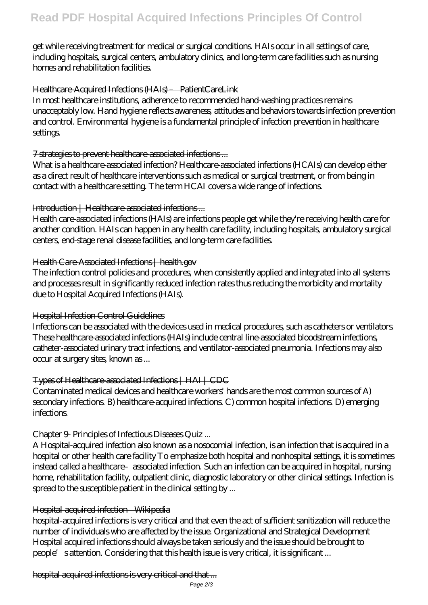get while receiving treatment for medical or surgical conditions. HAIs occur in all settings of care, including hospitals, surgical centers, ambulatory clinics, and long-term care facilities such as nursing homes and rehabilitation facilities.

## Healthcare-Acquired Infections (HAIs) – PatientCareLink

In most healthcare institutions, adherence to recommended hand-washing practices remains unacceptably low. Hand hygiene reflects awareness, attitudes and behaviors towards infection prevention and control. Environmental hygiene is a fundamental principle of infection prevention in healthcare settings.

#### 7 strategies to prevent healthcare-associated infections ...

What is a healthcare-associated infection? Healthcare-associated infections (HCAIs) can develop either as a direct result of healthcare interventions such as medical or surgical treatment, or from being in contact with a healthcare setting. The term HCAI covers a wide range of infections.

## Introduction | Healthcare-associated infections ...

Health care-associated infections (HAIs) are infections people get while they're receiving health care for another condition. HAIs can happen in any health care facility, including hospitals, ambulatory surgical centers, end-stage renal disease facilities, and long-term care facilities.

#### Health Care-Associated Infections | health.gov

The infection control policies and procedures, when consistently applied and integrated into all systems and processes result in significantly reduced infection rates thus reducing the morbidity and mortality due to Hospital Acquired Infections (HAIs).

## Hospital Infection Control Guidelines

Infections can be associated with the devices used in medical procedures, such as catheters or ventilators. These healthcare-associated infections (HAIs) include central line-associated bloodstream infections, catheter-associated urinary tract infections, and ventilator-associated pneumonia. Infections may also occur at surgery sites, known as ...

## Types of Healthcare-associated Infections | HAI | CDC

Contaminated medical devices and healthcare workers' hands are the most common sources of A) secondary infections. B) healthcare-acquired infections. C) common hospital infections. D) emerging infections.

## Chapter 9- Principles of Infectious Diseases Quiz ...

A Hospital-acquired infection also known as a nosocomial infection, is an infection that is acquired in a hospital or other health care facility To emphasize both hospital and nonhospital settings, it is sometimes instead called a healthcare–associated infection. Such an infection can be acquired in hospital, nursing home, rehabilitation facility, outpatient clinic, diagnostic laboratory or other clinical settings. Infection is spread to the susceptible patient in the clinical setting by ...

## Hospital-acquired infection - Wikipedia

hospital-acquired infections is very critical and that even the act of sufficient sanitization will reduce the number of individuals who are affected by the issue. Organizational and Strategical Development Hospital acquired infections should always be taken seriously and the issue should be brought to people's attention. Considering that this health issue is very critical, it is significant ...